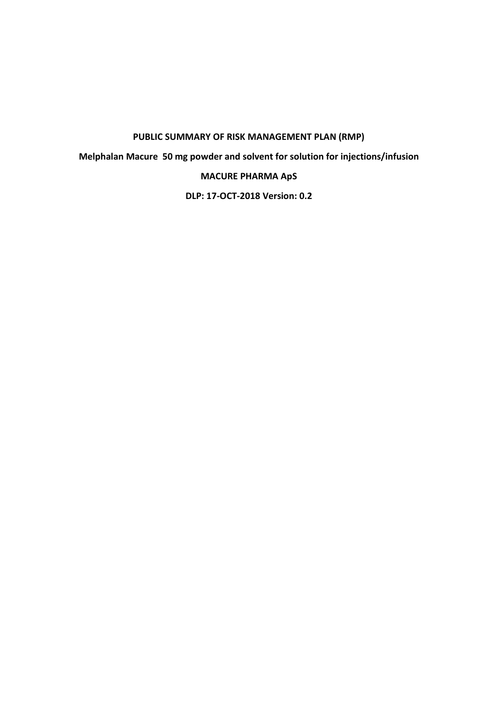# **PUBLIC SUMMARY OF RISK MANAGEMENT PLAN (RMP)**

**Melphalan Macure 50 mg powder and solvent for solution for injections/infusion**

# **MACURE PHARMA ApS**

**DLP: 17-OCT-2018 Version: 0.2**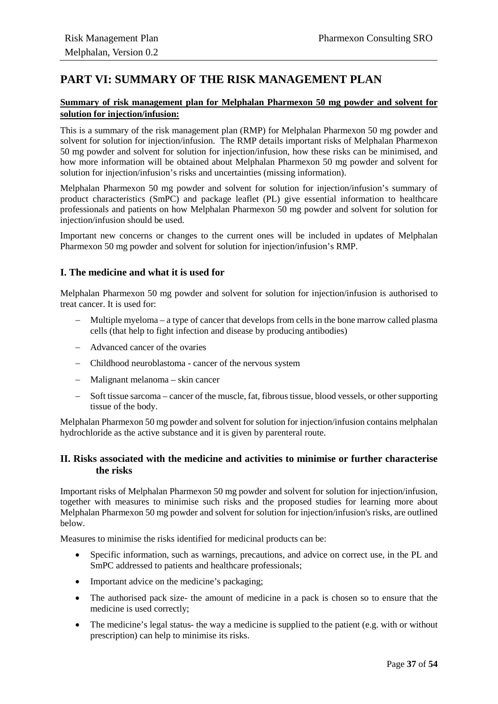# **PART VI: SUMMARY OF THE RISK MANAGEMENT PLAN**

#### **Summary of risk management plan for Melphalan Pharmexon 50 mg powder and solvent for solution for injection/infusion:**

This is a summary of the risk management plan (RMP) for Melphalan Pharmexon 50 mg powder and solvent for solution for injection/infusion. The RMP details important risks of Melphalan Pharmexon 50 mg powder and solvent for solution for injection/infusion, how these risks can be minimised, and how more information will be obtained about Melphalan Pharmexon 50 mg powder and solvent for solution for injection/infusion's risks and uncertainties (missing information).

Melphalan Pharmexon 50 mg powder and solvent for solution for injection/infusion's summary of product characteristics (SmPC) and package leaflet (PL) give essential information to healthcare professionals and patients on how Melphalan Pharmexon 50 mg powder and solvent for solution for injection/infusion should be used.

Important new concerns or changes to the current ones will be included in updates of Melphalan Pharmexon 50 mg powder and solvent for solution for injection/infusion's RMP.

#### **I. The medicine and what it is used for**

Melphalan Pharmexon 50 mg powder and solvent for solution for injection/infusion is authorised to treat cancer. It is used for:

- − Multiple myeloma a type of cancer that develops from cells in the bone marrow called plasma cells (that help to fight infection and disease by producing antibodies)
- − Advanced cancer of the ovaries
- − Childhood neuroblastoma cancer of the nervous system
- − Malignant melanoma skin cancer
- − Soft tissue sarcoma cancer of the muscle, fat, fibrous tissue, blood vessels, or other supporting tissue of the body.

Melphalan Pharmexon 50 mg powder and solvent for solution for injection/infusion contains melphalan hydrochloride as the active substance and it is given by parenteral route.

#### **II. Risks associated with the medicine and activities to minimise or further characterise the risks**

Important risks of Melphalan Pharmexon 50 mg powder and solvent for solution for injection/infusion, together with measures to minimise such risks and the proposed studies for learning more about Melphalan Pharmexon 50 mg powder and solvent for solution for injection/infusion's risks, are outlined below.

Measures to minimise the risks identified for medicinal products can be:

- Specific information, such as warnings, precautions, and advice on correct use, in the PL and SmPC addressed to patients and healthcare professionals;
- Important advice on the medicine's packaging;
- The authorised pack size- the amount of medicine in a pack is chosen so to ensure that the medicine is used correctly;
- The medicine's legal status- the way a medicine is supplied to the patient (e.g. with or without prescription) can help to minimise its risks.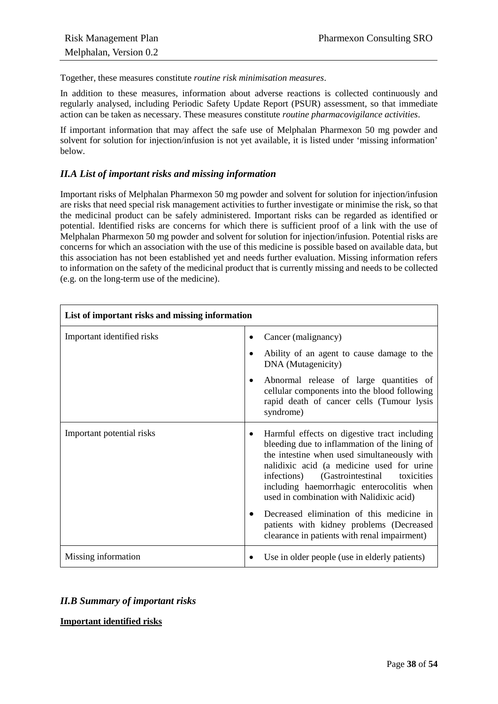Together, these measures constitute *routine risk minimisation measures*.

In addition to these measures, information about adverse reactions is collected continuously and regularly analysed, including Periodic Safety Update Report (PSUR) assessment, so that immediate action can be taken as necessary. These measures constitute *routine pharmacovigilance activities*.

If important information that may affect the safe use of Melphalan Pharmexon 50 mg powder and solvent for solution for injection/infusion is not yet available, it is listed under 'missing information' below.

## *II.A List of important risks and missing information*

Important risks of Melphalan Pharmexon 50 mg powder and solvent for solution for injection/infusion are risks that need special risk management activities to further investigate or minimise the risk, so that the medicinal product can be safely administered. Important risks can be regarded as identified or potential. Identified risks are concerns for which there is sufficient proof of a link with the use of Melphalan Pharmexon 50 mg powder and solvent for solution for injection/infusion. Potential risks are concerns for which an association with the use of this medicine is possible based on available data, but this association has not been established yet and needs further evaluation. Missing information refers to information on the safety of the medicinal product that is currently missing and needs to be collected (e.g. on the long-term use of the medicine).

| List of important risks and missing information |                                                                                                                                                                                                                                                                                                                                                                                             |
|-------------------------------------------------|---------------------------------------------------------------------------------------------------------------------------------------------------------------------------------------------------------------------------------------------------------------------------------------------------------------------------------------------------------------------------------------------|
| Important identified risks                      | Cancer (malignancy)                                                                                                                                                                                                                                                                                                                                                                         |
|                                                 | Ability of an agent to cause damage to the<br>DNA (Mutagenicity)                                                                                                                                                                                                                                                                                                                            |
|                                                 | Abnormal release of large quantities of<br>$\bullet$<br>cellular components into the blood following<br>rapid death of cancer cells (Tumour lysis<br>syndrome)                                                                                                                                                                                                                              |
| Important potential risks                       | Harmful effects on digestive tract including<br>$\bullet$<br>bleeding due to inflammation of the lining of<br>the intestine when used simultaneously with<br>nalidixic acid (a medicine used for urine<br>infections) (Gastrointestinal<br>toxicities<br>including haemorrhagic enterocolitis when<br>used in combination with Nalidixic acid)<br>Decreased elimination of this medicine in |
|                                                 | patients with kidney problems (Decreased<br>clearance in patients with renal impairment)                                                                                                                                                                                                                                                                                                    |
| Missing information                             | Use in older people (use in elderly patients)                                                                                                                                                                                                                                                                                                                                               |

#### *II.B Summary of important risks*

**Important identified risks**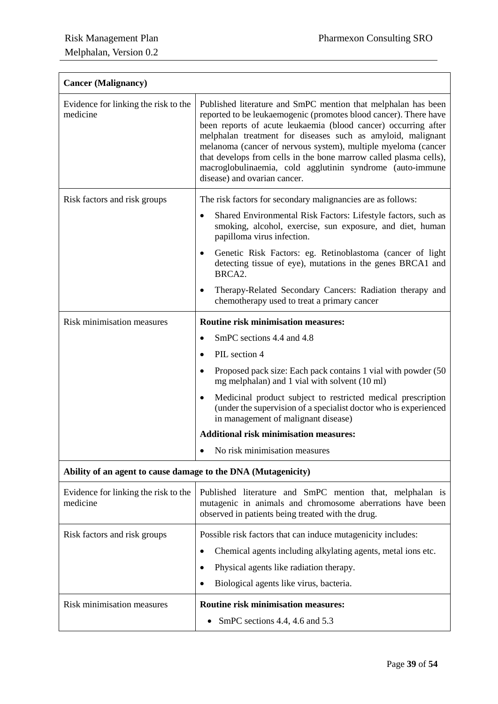| <b>Cancer (Malignancy)</b>                                    |                                                                                                                                                                                                                                                                                                                                                                                                                                                                                                       |
|---------------------------------------------------------------|-------------------------------------------------------------------------------------------------------------------------------------------------------------------------------------------------------------------------------------------------------------------------------------------------------------------------------------------------------------------------------------------------------------------------------------------------------------------------------------------------------|
| Evidence for linking the risk to the<br>medicine              | Published literature and SmPC mention that melphalan has been<br>reported to be leukaemogenic (promotes blood cancer). There have<br>been reports of acute leukaemia (blood cancer) occurring after<br>melphalan treatment for diseases such as amyloid, malignant<br>melanoma (cancer of nervous system), multiple myeloma (cancer<br>that develops from cells in the bone marrow called plasma cells),<br>macroglobulinaemia, cold agglutinin syndrome (auto-immune<br>disease) and ovarian cancer. |
| Risk factors and risk groups                                  | The risk factors for secondary malignancies are as follows:                                                                                                                                                                                                                                                                                                                                                                                                                                           |
|                                                               | Shared Environmental Risk Factors: Lifestyle factors, such as<br>٠<br>smoking, alcohol, exercise, sun exposure, and diet, human<br>papilloma virus infection.                                                                                                                                                                                                                                                                                                                                         |
|                                                               | Genetic Risk Factors: eg. Retinoblastoma (cancer of light<br>٠<br>detecting tissue of eye), mutations in the genes BRCA1 and<br>BRCA2.                                                                                                                                                                                                                                                                                                                                                                |
|                                                               | Therapy-Related Secondary Cancers: Radiation therapy and<br>٠<br>chemotherapy used to treat a primary cancer                                                                                                                                                                                                                                                                                                                                                                                          |
| <b>Risk minimisation measures</b>                             | <b>Routine risk minimisation measures:</b>                                                                                                                                                                                                                                                                                                                                                                                                                                                            |
|                                                               | SmPC sections 4.4 and 4.8<br>٠                                                                                                                                                                                                                                                                                                                                                                                                                                                                        |
|                                                               | PIL section 4                                                                                                                                                                                                                                                                                                                                                                                                                                                                                         |
|                                                               | Proposed pack size: Each pack contains 1 vial with powder (50)<br>٠<br>mg melphalan) and 1 vial with solvent (10 ml)                                                                                                                                                                                                                                                                                                                                                                                  |
|                                                               | Medicinal product subject to restricted medical prescription<br>(under the supervision of a specialist doctor who is experienced<br>in management of malignant disease)                                                                                                                                                                                                                                                                                                                               |
|                                                               | <b>Additional risk minimisation measures:</b>                                                                                                                                                                                                                                                                                                                                                                                                                                                         |
|                                                               | No risk minimisation measures                                                                                                                                                                                                                                                                                                                                                                                                                                                                         |
| Ability of an agent to cause damage to the DNA (Mutagenicity) |                                                                                                                                                                                                                                                                                                                                                                                                                                                                                                       |
| Evidence for linking the risk to the<br>medicine              | Published literature and SmPC mention that, melphalan is<br>mutagenic in animals and chromosome aberrations have been<br>observed in patients being treated with the drug.                                                                                                                                                                                                                                                                                                                            |
| Risk factors and risk groups                                  | Possible risk factors that can induce mutagenicity includes:                                                                                                                                                                                                                                                                                                                                                                                                                                          |
|                                                               | Chemical agents including alkylating agents, metal ions etc.                                                                                                                                                                                                                                                                                                                                                                                                                                          |
|                                                               | Physical agents like radiation therapy.                                                                                                                                                                                                                                                                                                                                                                                                                                                               |
|                                                               | Biological agents like virus, bacteria.<br>٠                                                                                                                                                                                                                                                                                                                                                                                                                                                          |
| <b>Risk minimisation measures</b>                             | Routine risk minimisation measures:                                                                                                                                                                                                                                                                                                                                                                                                                                                                   |
|                                                               | SmPC sections 4.4, 4.6 and 5.3                                                                                                                                                                                                                                                                                                                                                                                                                                                                        |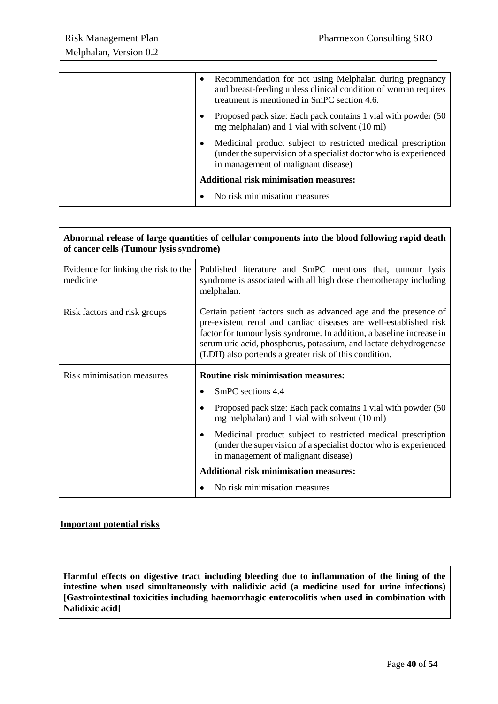$\overline{\phantom{a}}$ 

| Recommendation for not using Melphalan during pregnancy<br>$\bullet$<br>and breast-feeding unless clinical condition of woman requires<br>treatment is mentioned in SmPC section 4.6. |
|---------------------------------------------------------------------------------------------------------------------------------------------------------------------------------------|
| Proposed pack size: Each pack contains 1 vial with powder (50)<br>٠<br>mg melphalan) and 1 vial with solvent (10 ml)                                                                  |
| Medicinal product subject to restricted medical prescription<br>٠<br>(under the supervision of a specialist doctor who is experienced<br>in management of malignant disease)          |
| <b>Additional risk minimisation measures:</b>                                                                                                                                         |
| No risk minimisation measures                                                                                                                                                         |

| Abnormal release of large quantities of cellular components into the blood following rapid death<br>of cancer cells (Tumour lysis syndrome) |                                                                                                                                                                                                                                                                                                                                                                       |
|---------------------------------------------------------------------------------------------------------------------------------------------|-----------------------------------------------------------------------------------------------------------------------------------------------------------------------------------------------------------------------------------------------------------------------------------------------------------------------------------------------------------------------|
| Evidence for linking the risk to the<br>medicine                                                                                            | Published literature and SmPC mentions that, tumour lysis<br>syndrome is associated with all high dose chemotherapy including<br>melphalan.                                                                                                                                                                                                                           |
| Risk factors and risk groups                                                                                                                | Certain patient factors such as advanced age and the presence of<br>pre-existent renal and cardiac diseases are well-established risk<br>factor for tumour lysis syndrome. In addition, a baseline increase in<br>serum uric acid, phosphorus, potassium, and lactate dehydrogenase<br>(LDH) also portends a greater risk of this condition.                          |
| <b>Risk minimisation measures</b>                                                                                                           | <b>Routine risk minimisation measures:</b>                                                                                                                                                                                                                                                                                                                            |
|                                                                                                                                             | SmPC sections 4.4<br>Proposed pack size: Each pack contains 1 vial with powder (50)<br>mg melphalan) and 1 vial with solvent (10 ml)<br>Medicinal product subject to restricted medical prescription<br>٠<br>(under the supervision of a specialist doctor who is experienced<br>in management of malignant disease)<br><b>Additional risk minimisation measures:</b> |

#### **Important potential risks**

**Harmful effects on digestive tract including bleeding due to inflammation of the lining of the intestine when used simultaneously with nalidixic acid (a medicine used for urine infections) [Gastrointestinal toxicities including haemorrhagic enterocolitis when used in combination with Nalidixic acid]**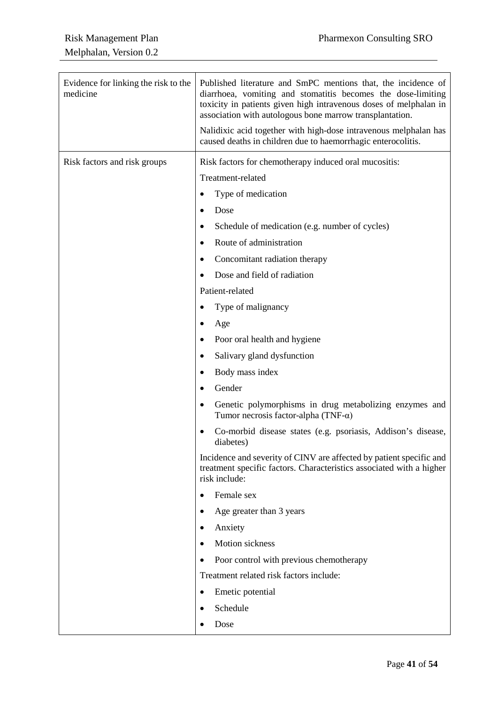| Evidence for linking the risk to the<br>medicine | Published literature and SmPC mentions that, the incidence of<br>diarrhoea, vomiting and stomatitis becomes the dose-limiting<br>toxicity in patients given high intravenous doses of melphalan in<br>association with autologous bone marrow transplantation.<br>Nalidixic acid together with high-dose intravenous melphalan has |
|--------------------------------------------------|------------------------------------------------------------------------------------------------------------------------------------------------------------------------------------------------------------------------------------------------------------------------------------------------------------------------------------|
|                                                  | caused deaths in children due to haemorrhagic enterocolitis.                                                                                                                                                                                                                                                                       |
| Risk factors and risk groups                     | Risk factors for chemotherapy induced oral mucositis:                                                                                                                                                                                                                                                                              |
|                                                  | Treatment-related                                                                                                                                                                                                                                                                                                                  |
|                                                  | Type of medication                                                                                                                                                                                                                                                                                                                 |
|                                                  | Dose<br>$\bullet$                                                                                                                                                                                                                                                                                                                  |
|                                                  | Schedule of medication (e.g. number of cycles)                                                                                                                                                                                                                                                                                     |
|                                                  | Route of administration<br>$\bullet$                                                                                                                                                                                                                                                                                               |
|                                                  | Concomitant radiation therapy                                                                                                                                                                                                                                                                                                      |
|                                                  | Dose and field of radiation                                                                                                                                                                                                                                                                                                        |
|                                                  | Patient-related                                                                                                                                                                                                                                                                                                                    |
|                                                  | Type of malignancy                                                                                                                                                                                                                                                                                                                 |
|                                                  | Age                                                                                                                                                                                                                                                                                                                                |
|                                                  | Poor oral health and hygiene                                                                                                                                                                                                                                                                                                       |
|                                                  | Salivary gland dysfunction                                                                                                                                                                                                                                                                                                         |
|                                                  | Body mass index                                                                                                                                                                                                                                                                                                                    |
|                                                  | Gender<br>$\bullet$                                                                                                                                                                                                                                                                                                                |
|                                                  | Genetic polymorphisms in drug metabolizing enzymes and<br>$\bullet$<br>Tumor necrosis factor-alpha (TNF- $\alpha$ )                                                                                                                                                                                                                |
|                                                  | Co-morbid disease states (e.g. psoriasis, Addison's disease,<br>diabetes)                                                                                                                                                                                                                                                          |
|                                                  | Incidence and severity of CINV are affected by patient specific and<br>treatment specific factors. Characteristics associated with a higher<br>risk include:                                                                                                                                                                       |
|                                                  | Female sex<br>$\bullet$                                                                                                                                                                                                                                                                                                            |
|                                                  | Age greater than 3 years                                                                                                                                                                                                                                                                                                           |
|                                                  | Anxiety                                                                                                                                                                                                                                                                                                                            |
|                                                  | Motion sickness<br>$\bullet$                                                                                                                                                                                                                                                                                                       |
|                                                  | Poor control with previous chemotherapy<br>$\bullet$                                                                                                                                                                                                                                                                               |
|                                                  | Treatment related risk factors include:                                                                                                                                                                                                                                                                                            |
|                                                  | Emetic potential                                                                                                                                                                                                                                                                                                                   |
|                                                  | Schedule                                                                                                                                                                                                                                                                                                                           |
|                                                  | Dose                                                                                                                                                                                                                                                                                                                               |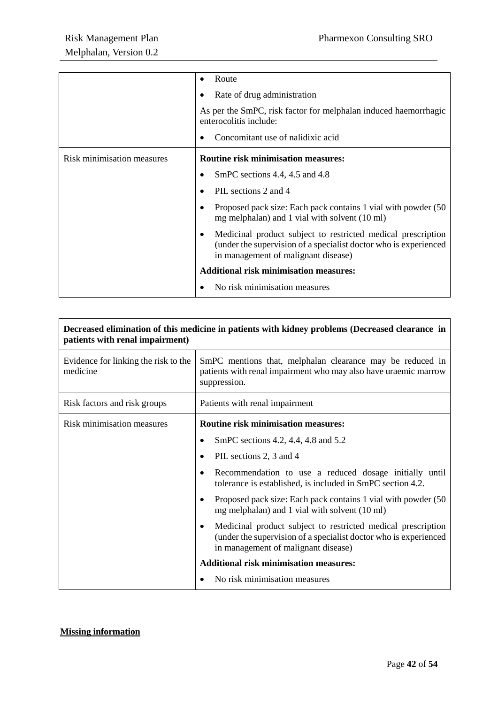|                            | Route                                                                                                                                                                        |
|----------------------------|------------------------------------------------------------------------------------------------------------------------------------------------------------------------------|
|                            | Rate of drug administration                                                                                                                                                  |
|                            | As per the SmPC, risk factor for melphalan induced haemorrhagic<br>enterocolitis include:                                                                                    |
|                            | Concomitant use of nalidixic acid                                                                                                                                            |
| Risk minimisation measures | <b>Routine risk minimisation measures:</b>                                                                                                                                   |
|                            | SmPC sections 4.4, 4.5 and 4.8                                                                                                                                               |
|                            | PIL sections 2 and 4                                                                                                                                                         |
|                            | Proposed pack size: Each pack contains 1 vial with powder (50)<br>mg melphalan) and 1 vial with solvent (10 ml)                                                              |
|                            | Medicinal product subject to restricted medical prescription<br>٠<br>(under the supervision of a specialist doctor who is experienced<br>in management of malignant disease) |
|                            | <b>Additional risk minimisation measures:</b>                                                                                                                                |
|                            | No risk minimisation measures                                                                                                                                                |

| Decreased elimination of this medicine in patients with kidney problems (Decreased clearance in<br>patients with renal impairment) |                                                                                                                                                                                                                                                                                                                                                                                                                                                                                                                                                                                                                                 |
|------------------------------------------------------------------------------------------------------------------------------------|---------------------------------------------------------------------------------------------------------------------------------------------------------------------------------------------------------------------------------------------------------------------------------------------------------------------------------------------------------------------------------------------------------------------------------------------------------------------------------------------------------------------------------------------------------------------------------------------------------------------------------|
| Evidence for linking the risk to the<br>medicine                                                                                   | SmPC mentions that, melphalan clearance may be reduced in<br>patients with renal impairment who may also have uraemic marrow<br>suppression.                                                                                                                                                                                                                                                                                                                                                                                                                                                                                    |
| Risk factors and risk groups                                                                                                       | Patients with renal impairment                                                                                                                                                                                                                                                                                                                                                                                                                                                                                                                                                                                                  |
| Risk minimisation measures                                                                                                         | <b>Routine risk minimisation measures:</b><br>SmPC sections 4.2, 4.4, 4.8 and 5.2<br>PIL sections 2, 3 and 4<br>$\bullet$<br>Recommendation to use a reduced dosage initially until<br>$\bullet$<br>tolerance is established, is included in SmPC section 4.2.<br>Proposed pack size: Each pack contains 1 vial with powder (50)<br>٠<br>mg melphalan) and 1 vial with solvent (10 ml)<br>Medicinal product subject to restricted medical prescription<br>$\bullet$<br>(under the supervision of a specialist doctor who is experienced<br>in management of malignant disease)<br><b>Additional risk minimisation measures:</b> |
|                                                                                                                                    | No risk minimisation measures                                                                                                                                                                                                                                                                                                                                                                                                                                                                                                                                                                                                   |

# **Missing information**